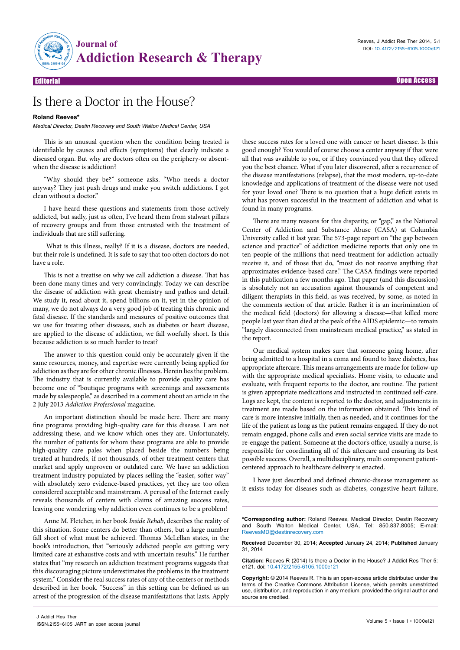

Editorial Open Access

## Is there a Doctor in the House?

## **Roland Reeves\***

*Medical Director, Destin Recovery and South Walton Medical Center, USA*

This is an unusual question when the condition being treated is identifiable by causes and effects (symptoms) that clearly indicate a diseased organ. But why are doctors often on the periphery-or absentwhen the disease is addiction?

"Why should they be?" someone asks. "Who needs a doctor anyway? They just push drugs and make you switch addictions. I got clean without a doctor."

I have heard these questions and statements from those actively addicted, but sadly, just as often, I've heard them from stalwart pillars of recovery groups and from those entrusted with the treatment of individuals that are still suffering.

 What is this illness, really? If it is a disease, doctors are needed, but their role is undefined. It is safe to say that too often doctors do not have a role.

This is not a treatise on why we call addiction a disease. That has been done many times and very convincingly. Today we can describe the disease of addiction with great chemistry and pathos and detail. We study it, read about it, spend billions on it, yet in the opinion of many, we do not always do a very good job of treating this chronic and fatal disease. If the standards and measures of positive outcomes that we use for treating other diseases, such as diabetes or heart disease, are applied to the disease of addiction, we fall woefully short. Is this because addiction is so much harder to treat?

The answer to this question could only be accurately given if the same resources, money, and expertise were currently being applied for addiction as they are for other chronic illnesses. Herein lies the problem. The industry that is currently available to provide quality care has become one of "boutique programs with screenings and assessments made by salespeople," as described in a comment about an article in the 2 July 2013 *Addiction Professional* magazine.

An important distinction should be made here. There are many fine programs providing high-quality care for this disease. I am not addressing these, and we know which ones they are. Unfortunately, the number of patients for whom these programs are able to provide high-quality care pales when placed beside the numbers being treated at hundreds, if not thousands, of other treatment centers that market and apply unproven or outdated care. We have an addiction treatment industry populated by places selling the "easier, softer way" with absolutely zero evidence-based practices, yet they are too often considered acceptable and mainstream. A perusal of the Internet easily reveals thousands of centers with claims of amazing success rates, leaving one wondering why addiction even continues to be a problem!

Anne M. Fletcher, in her book *Inside Rehab*, describes the reality of this situation. Some centers do better than others, but a large number fall short of what must be achieved. Thomas McLellan states, in the book's introduction, that "seriously addicted people *are* getting very limited care at exhaustive costs and with uncertain results." He further states that "my research on addiction treatment programs suggests that this discouraging picture underestimates the problems in the treatment system." Consider the real success rates of any of the centers or methods described in her book. "Success" in this setting can be defined as an arrest of the progression of the disease manifestations that lasts. Apply

these success rates for a loved one with cancer or heart disease. Is this good enough? You would of course choose a center anyway if that were all that was available to you, or if they convinced you that they offered you the best chance. What if you later discovered, after a recurrence of the disease manifestations (relapse), that the most modern, up-to-date knowledge and applications of treatment of the disease were not used for your loved one? There is no question that a huge deficit exists in what has proven successful in the treatment of addiction and what is found in many programs.

There are many reasons for this disparity, or "gap," as the National Center of Addiction and Substance Abuse (CASA) at Columbia University called it last year. The 573-page report on "the gap between science and practice" of addiction medicine reports that only one in ten people of the millions that need treatment for addiction actually receive it, and of those that do, "most do not receive anything that approximates evidence-based care." The CASA findings were reported in this publication a few months ago. That paper (and this discussion) is absolutely not an accusation against thousands of competent and diligent therapists in this field, as was received, by some, as noted in the comments section of that article. Rather it is an incrimination of the medical field (doctors) for allowing a disease—that killed more people last year than died at the peak of the AIDS epidemic—to remain "largely disconnected from mainstream medical practice," as stated in the report.

Our medical system makes sure that someone going home, after being admitted to a hospital in a coma and found to have diabetes, has appropriate aftercare. This means arrangements are made for follow-up with the appropriate medical specialists. Home visits, to educate and evaluate, with frequent reports to the doctor, are routine. The patient is given appropriate medications and instructed in continued self-care. Logs are kept, the content is reported to the doctor, and adjustments in treatment are made based on the information obtained. This kind of care is more intensive initially, then as needed, and it continues for the life of the patient as long as the patient remains engaged. If they do not remain engaged, phone calls and even social service visits are made to re-engage the patient. Someone at the doctor's office, usually a nurse, is responsible for coordinating all of this aftercare and ensuring its best possible success. Overall, a multidisciplinary, multi component patientcentered approach to healthcare delivery is enacted.

I have just described and defined chronic-disease management as it exists today for diseases such as diabetes, congestive heart failure,

**Received** December 30, 2014; **Accepted** January 24, 2014; **Published** January 31, 2014

**Citation:** Reeves R (2014) Is there a Doctor in the House? J Addict Res Ther 5: e121. doi: 10.4172/2155-6105.1000e121

**Copyright:** © 2014 Reeves R. This is an open-access article distributed under the terms of the Creative Commons Attribution License, which permits unrestricted use, distribution, and reproduction in any medium, provided the original author and source are credited.

**<sup>\*</sup>Corresponding author:** Roland Reeves, Medical Director, Destin Recovery and South Walton Medical Center, USA, Tel: 850.837.8005; E-mail: ReevesMD@destinrecovery.com